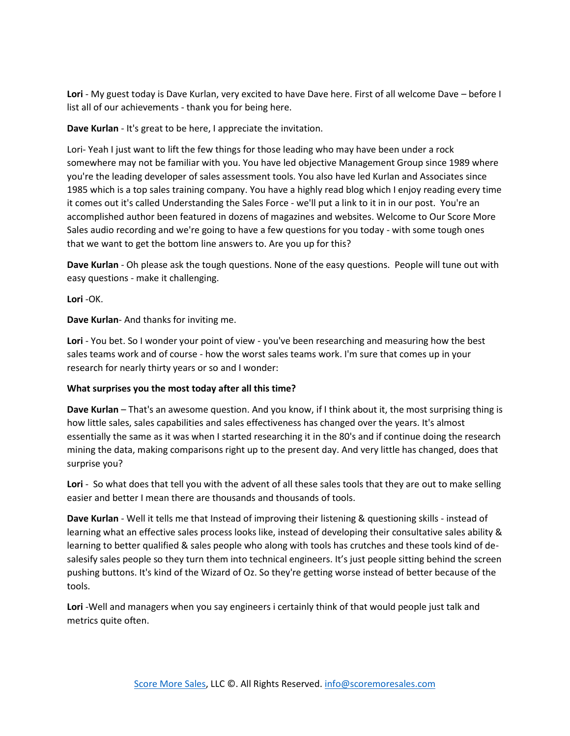**Lori** - My guest today is Dave Kurlan, very excited to have Dave here. First of all welcome Dave – before I list all of our achievements - thank you for being here.

**Dave Kurlan** - It's great to be here, I appreciate the invitation.

Lori- Yeah I just want to lift the few things for those leading who may have been under a rock somewhere may not be familiar with you. You have led objective Management Group since 1989 where you're the leading developer of sales assessment tools. You also have led Kurlan and Associates since 1985 which is a top sales training company. You have a highly read blog which I enjoy reading every time it comes out it's called Understanding the Sales Force - we'll put a link to it in in our post. You're an accomplished author been featured in dozens of magazines and websites. Welcome to Our Score More Sales audio recording and we're going to have a few questions for you today - with some tough ones that we want to get the bottom line answers to. Are you up for this?

**Dave Kurlan** - Oh please ask the tough questions. None of the easy questions. People will tune out with easy questions - make it challenging.

**Lori** -OK.

**Dave Kurlan**- And thanks for inviting me.

**Lori** - You bet. So I wonder your point of view - you've been researching and measuring how the best sales teams work and of course - how the worst sales teams work. I'm sure that comes up in your research for nearly thirty years or so and I wonder:

## **What surprises you the most today after all this time?**

**Dave Kurlan** – That's an awesome question. And you know, if I think about it, the most surprising thing is how little sales, sales capabilities and sales effectiveness has changed over the years. It's almost essentially the same as it was when I started researching it in the 80's and if continue doing the research mining the data, making comparisons right up to the present day. And very little has changed, does that surprise you?

**Lori** - So what does that tell you with the advent of all these sales tools that they are out to make selling easier and better I mean there are thousands and thousands of tools.

**Dave Kurlan** - Well it tells me that Instead of improving their listening & questioning skills - instead of learning what an effective sales process looks like, instead of developing their consultative sales ability & learning to better qualified & sales people who along with tools has crutches and these tools kind of desalesify sales people so they turn them into technical engineers. It's just people sitting behind the screen pushing buttons. It's kind of the Wizard of Oz. So they're getting worse instead of better because of the tools.

**Lori** -Well and managers when you say engineers i certainly think of that would people just talk and metrics quite often.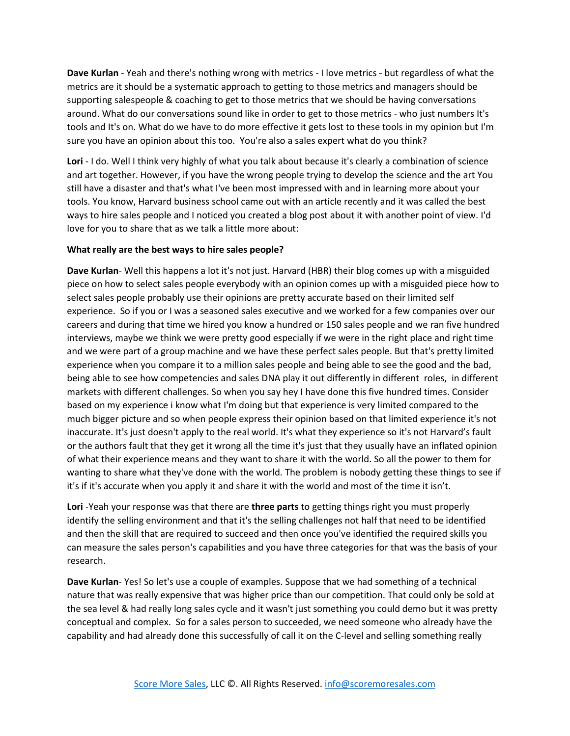**Dave Kurlan** - Yeah and there's nothing wrong with metrics - I love metrics - but regardless of what the metrics are it should be a systematic approach to getting to those metrics and managers should be supporting salespeople & coaching to get to those metrics that we should be having conversations around. What do our conversations sound like in order to get to those metrics - who just numbers It's tools and It's on. What do we have to do more effective it gets lost to these tools in my opinion but I'm sure you have an opinion about this too. You're also a sales expert what do you think?

**Lori** - I do. Well I think very highly of what you talk about because it's clearly a combination of science and art together. However, if you have the wrong people trying to develop the science and the art You still have a disaster and that's what I've been most impressed with and in learning more about your tools. You know, Harvard business school came out with an article recently and it was called the best ways to hire sales people and I noticed you created a blog post about it with another point of view. I'd love for you to share that as we talk a little more about:

## **What really are the best ways to hire sales people?**

**Dave Kurlan**- Well this happens a lot it's not just. Harvard (HBR) their blog comes up with a misguided piece on how to select sales people everybody with an opinion comes up with a misguided piece how to select sales people probably use their opinions are pretty accurate based on their limited self experience. So if you or I was a seasoned sales executive and we worked for a few companies over our careers and during that time we hired you know a hundred or 150 sales people and we ran five hundred interviews, maybe we think we were pretty good especially if we were in the right place and right time and we were part of a group machine and we have these perfect sales people. But that's pretty limited experience when you compare it to a million sales people and being able to see the good and the bad, being able to see how competencies and sales DNA play it out differently in different roles, in different markets with different challenges. So when you say hey I have done this five hundred times. Consider based on my experience i know what I'm doing but that experience is very limited compared to the much bigger picture and so when people express their opinion based on that limited experience it's not inaccurate. It's just doesn't apply to the real world. It's what they experience so it's not Harvard's fault or the authors fault that they get it wrong all the time it's just that they usually have an inflated opinion of what their experience means and they want to share it with the world. So all the power to them for wanting to share what they've done with the world. The problem is nobody getting these things to see if it's if it's accurate when you apply it and share it with the world and most of the time it isn't.

**Lori** -Yeah your response was that there are **three parts** to getting things right you must properly identify the selling environment and that it's the selling challenges not half that need to be identified and then the skill that are required to succeed and then once you've identified the required skills you can measure the sales person's capabilities and you have three categories for that was the basis of your research.

**Dave Kurlan**- Yes! So let's use a couple of examples. Suppose that we had something of a technical nature that was really expensive that was higher price than our competition. That could only be sold at the sea level & had really long sales cycle and it wasn't just something you could demo but it was pretty conceptual and complex. So for a sales person to succeeded, we need someone who already have the capability and had already done this successfully of call it on the C-level and selling something really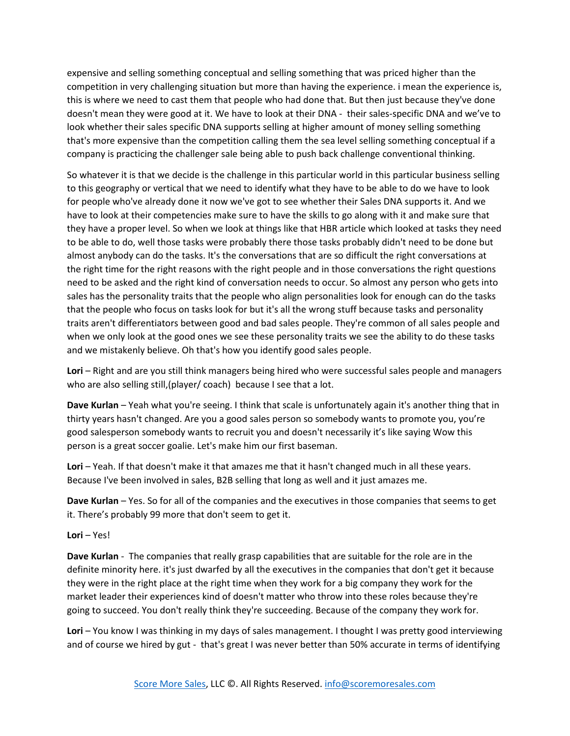expensive and selling something conceptual and selling something that was priced higher than the competition in very challenging situation but more than having the experience. i mean the experience is, this is where we need to cast them that people who had done that. But then just because they've done doesn't mean they were good at it. We have to look at their DNA - their sales-specific DNA and we've to look whether their sales specific DNA supports selling at higher amount of money selling something that's more expensive than the competition calling them the sea level selling something conceptual if a company is practicing the challenger sale being able to push back challenge conventional thinking.

So whatever it is that we decide is the challenge in this particular world in this particular business selling to this geography or vertical that we need to identify what they have to be able to do we have to look for people who've already done it now we've got to see whether their Sales DNA supports it. And we have to look at their competencies make sure to have the skills to go along with it and make sure that they have a proper level. So when we look at things like that HBR article which looked at tasks they need to be able to do, well those tasks were probably there those tasks probably didn't need to be done but almost anybody can do the tasks. It's the conversations that are so difficult the right conversations at the right time for the right reasons with the right people and in those conversations the right questions need to be asked and the right kind of conversation needs to occur. So almost any person who gets into sales has the personality traits that the people who align personalities look for enough can do the tasks that the people who focus on tasks look for but it's all the wrong stuff because tasks and personality traits aren't differentiators between good and bad sales people. They're common of all sales people and when we only look at the good ones we see these personality traits we see the ability to do these tasks and we mistakenly believe. Oh that's how you identify good sales people.

Lori – Right and are you still think managers being hired who were successful sales people and managers who are also selling still, (player/ coach) because I see that a lot.

**Dave Kurlan** – Yeah what you're seeing. I think that scale is unfortunately again it's another thing that in thirty years hasn't changed. Are you a good sales person so somebody wants to promote you, you're good salesperson somebody wants to recruit you and doesn't necessarily it's like saying Wow this person is a great soccer goalie. Let's make him our first baseman.

**Lori** – Yeah. If that doesn't make it that amazes me that it hasn't changed much in all these years. Because I've been involved in sales, B2B selling that long as well and it just amazes me.

**Dave Kurlan** – Yes. So for all of the companies and the executives in those companies that seems to get it. There's probably 99 more that don't seem to get it.

## **Lori** – Yes!

**Dave Kurlan** - The companies that really grasp capabilities that are suitable for the role are in the definite minority here. it's just dwarfed by all the executives in the companies that don't get it because they were in the right place at the right time when they work for a big company they work for the market leader their experiences kind of doesn't matter who throw into these roles because they're going to succeed. You don't really think they're succeeding. Because of the company they work for.

**Lori** – You know I was thinking in my days of sales management. I thought I was pretty good interviewing and of course we hired by gut - that's great I was never better than 50% accurate in terms of identifying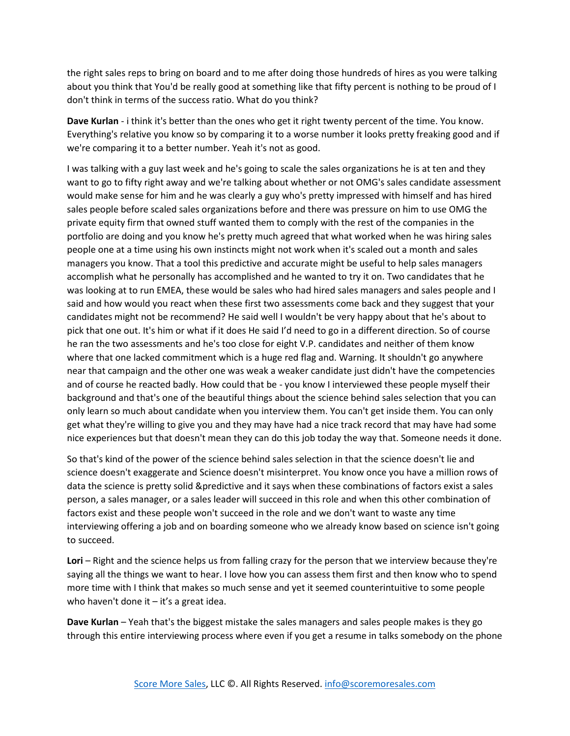the right sales reps to bring on board and to me after doing those hundreds of hires as you were talking about you think that You'd be really good at something like that fifty percent is nothing to be proud of I don't think in terms of the success ratio. What do you think?

**Dave Kurlan** - i think it's better than the ones who get it right twenty percent of the time. You know. Everything's relative you know so by comparing it to a worse number it looks pretty freaking good and if we're comparing it to a better number. Yeah it's not as good.

I was talking with a guy last week and he's going to scale the sales organizations he is at ten and they want to go to fifty right away and we're talking about whether or not OMG's sales candidate assessment would make sense for him and he was clearly a guy who's pretty impressed with himself and has hired sales people before scaled sales organizations before and there was pressure on him to use OMG the private equity firm that owned stuff wanted them to comply with the rest of the companies in the portfolio are doing and you know he's pretty much agreed that what worked when he was hiring sales people one at a time using his own instincts might not work when it's scaled out a month and sales managers you know. That a tool this predictive and accurate might be useful to help sales managers accomplish what he personally has accomplished and he wanted to try it on. Two candidates that he was looking at to run EMEA, these would be sales who had hired sales managers and sales people and I said and how would you react when these first two assessments come back and they suggest that your candidates might not be recommend? He said well I wouldn't be very happy about that he's about to pick that one out. It's him or what if it does He said I'd need to go in a different direction. So of course he ran the two assessments and he's too close for eight V.P. candidates and neither of them know where that one lacked commitment which is a huge red flag and. Warning. It shouldn't go anywhere near that campaign and the other one was weak a weaker candidate just didn't have the competencies and of course he reacted badly. How could that be - you know I interviewed these people myself their background and that's one of the beautiful things about the science behind sales selection that you can only learn so much about candidate when you interview them. You can't get inside them. You can only get what they're willing to give you and they may have had a nice track record that may have had some nice experiences but that doesn't mean they can do this job today the way that. Someone needs it done.

So that's kind of the power of the science behind sales selection in that the science doesn't lie and science doesn't exaggerate and Science doesn't misinterpret. You know once you have a million rows of data the science is pretty solid &predictive and it says when these combinations of factors exist a sales person, a sales manager, or a sales leader will succeed in this role and when this other combination of factors exist and these people won't succeed in the role and we don't want to waste any time interviewing offering a job and on boarding someone who we already know based on science isn't going to succeed.

Lori – Right and the science helps us from falling crazy for the person that we interview because they're saying all the things we want to hear. I love how you can assess them first and then know who to spend more time with I think that makes so much sense and yet it seemed counterintuitive to some people who haven't done it  $-$  it's a great idea.

**Dave Kurlan** – Yeah that's the biggest mistake the sales managers and sales people makes is they go through this entire interviewing process where even if you get a resume in talks somebody on the phone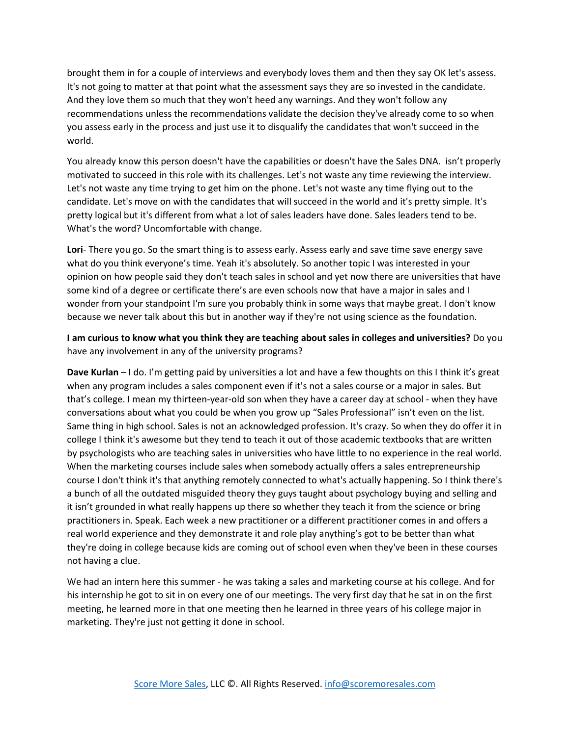brought them in for a couple of interviews and everybody loves them and then they say OK let's assess. It's not going to matter at that point what the assessment says they are so invested in the candidate. And they love them so much that they won't heed any warnings. And they won't follow any recommendations unless the recommendations validate the decision they've already come to so when you assess early in the process and just use it to disqualify the candidates that won't succeed in the world.

You already know this person doesn't have the capabilities or doesn't have the Sales DNA. isn't properly motivated to succeed in this role with its challenges. Let's not waste any time reviewing the interview. Let's not waste any time trying to get him on the phone. Let's not waste any time flying out to the candidate. Let's move on with the candidates that will succeed in the world and it's pretty simple. It's pretty logical but it's different from what a lot of sales leaders have done. Sales leaders tend to be. What's the word? Uncomfortable with change.

**Lori**- There you go. So the smart thing is to assess early. Assess early and save time save energy save what do you think everyone's time. Yeah it's absolutely. So another topic I was interested in your opinion on how people said they don't teach sales in school and yet now there are universities that have some kind of a degree or certificate there's are even schools now that have a major in sales and I wonder from your standpoint I'm sure you probably think in some ways that maybe great. I don't know because we never talk about this but in another way if they're not using science as the foundation.

**I am curious to know what you think they are teaching about sales in colleges and universities?** Do you have any involvement in any of the university programs?

**Dave Kurlan** – I do. I'm getting paid by universities a lot and have a few thoughts on this I think it's great when any program includes a sales component even if it's not a sales course or a major in sales. But that's college. I mean my thirteen-year-old son when they have a career day at school - when they have conversations about what you could be when you grow up "Sales Professional" isn't even on the list. Same thing in high school. Sales is not an acknowledged profession. It's crazy. So when they do offer it in college I think it's awesome but they tend to teach it out of those academic textbooks that are written by psychologists who are teaching sales in universities who have little to no experience in the real world. When the marketing courses include sales when somebody actually offers a sales entrepreneurship course I don't think it's that anything remotely connected to what's actually happening. So I think there's a bunch of all the outdated misguided theory they guys taught about psychology buying and selling and it isn't grounded in what really happens up there so whether they teach it from the science or bring practitioners in. Speak. Each week a new practitioner or a different practitioner comes in and offers a real world experience and they demonstrate it and role play anything's got to be better than what they're doing in college because kids are coming out of school even when they've been in these courses not having a clue.

We had an intern here this summer - he was taking a sales and marketing course at his college. And for his internship he got to sit in on every one of our meetings. The very first day that he sat in on the first meeting, he learned more in that one meeting then he learned in three years of his college major in marketing. They're just not getting it done in school.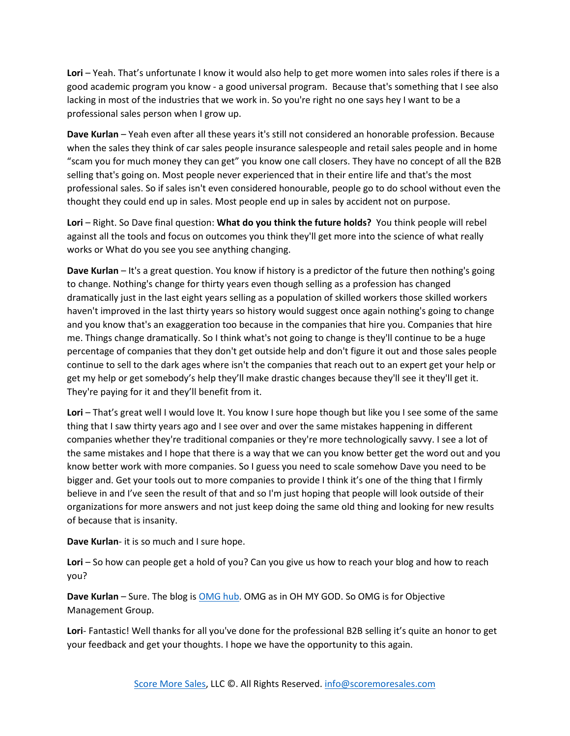**Lori** – Yeah. That's unfortunate I know it would also help to get more women into sales roles if there is a good academic program you know - a good universal program. Because that's something that I see also lacking in most of the industries that we work in. So you're right no one says hey I want to be a professional sales person when I grow up.

**Dave Kurlan** – Yeah even after all these years it's still not considered an honorable profession. Because when the sales they think of car sales people insurance salespeople and retail sales people and in home "scam you for much money they can get" you know one call closers. They have no concept of all the B2B selling that's going on. Most people never experienced that in their entire life and that's the most professional sales. So if sales isn't even considered honourable, people go to do school without even the thought they could end up in sales. Most people end up in sales by accident not on purpose.

**Lori** – Right. So Dave final question: **What do you think the future holds?** You think people will rebel against all the tools and focus on outcomes you think they'll get more into the science of what really works or What do you see you see anything changing.

**Dave Kurlan** – It's a great question. You know if history is a predictor of the future then nothing's going to change. Nothing's change for thirty years even though selling as a profession has changed dramatically just in the last eight years selling as a population of skilled workers those skilled workers haven't improved in the last thirty years so history would suggest once again nothing's going to change and you know that's an exaggeration too because in the companies that hire you. Companies that hire me. Things change dramatically. So I think what's not going to change is they'll continue to be a huge percentage of companies that they don't get outside help and don't figure it out and those sales people continue to sell to the dark ages where isn't the companies that reach out to an expert get your help or get my help or get somebody's help they'll make drastic changes because they'll see it they'll get it. They're paying for it and they'll benefit from it.

Lori – That's great well I would love It. You know I sure hope though but like you I see some of the same thing that I saw thirty years ago and I see over and over the same mistakes happening in different companies whether they're traditional companies or they're more technologically savvy. I see a lot of the same mistakes and I hope that there is a way that we can you know better get the word out and you know better work with more companies. So I guess you need to scale somehow Dave you need to be bigger and. Get your tools out to more companies to provide I think it's one of the thing that I firmly believe in and I've seen the result of that and so I'm just hoping that people will look outside of their organizations for more answers and not just keep doing the same old thing and looking for new results of because that is insanity.

**Dave Kurlan**- it is so much and I sure hope.

**Lori** – So how can people get a hold of you? Can you give us how to reach your blog and how to reach you?

**Dave Kurlan** – Sure. The blog i[s OMG hub.](http://omgqlink.com/blog/1509?DistNum=372) OMG as in OH MY GOD. So OMG is for Objective Management Group.

**Lori**- Fantastic! Well thanks for all you've done for the professional B2B selling it's quite an honor to get your feedback and get your thoughts. I hope we have the opportunity to this again.